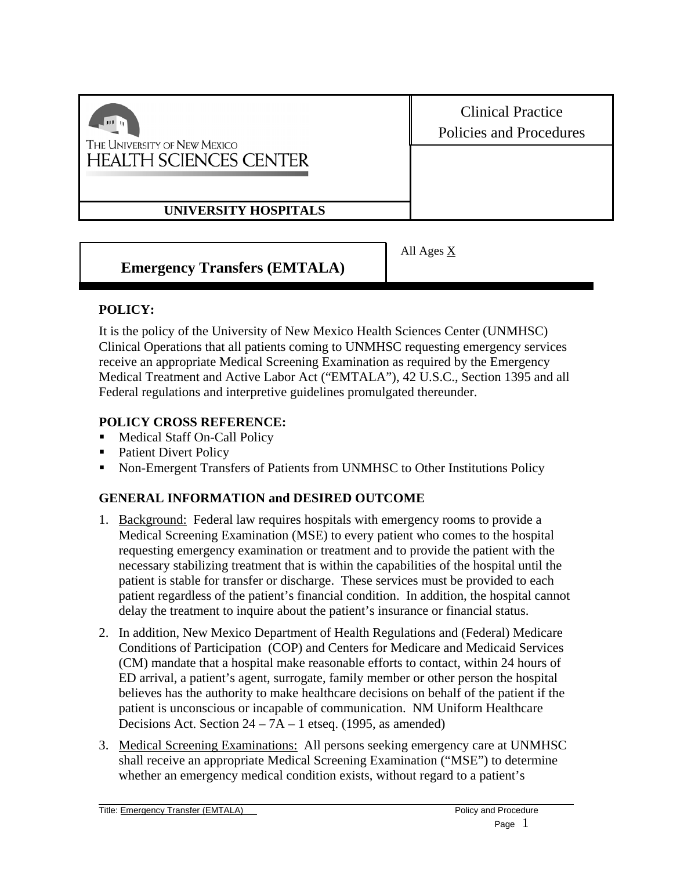| $111 - 10$<br>THE UNIVERSITY OF NEW MEXICO<br><b>HEALTH SCIENCES CENTER</b> | <b>Clinical Practice</b><br><b>Policies and Procedures</b> |
|-----------------------------------------------------------------------------|------------------------------------------------------------|
|                                                                             |                                                            |
| UNIVERSITY HOSPITALS                                                        |                                                            |
|                                                                             | $\Delta$ ll $\Delta$ ges X                                 |

**Emergency Transfers (EMTALA)** 

All Ages  $\underline{\Lambda}$ 

# **POLICY:**

It is the policy of the University of New Mexico Health Sciences Center (UNMHSC) Clinical Operations that all patients coming to UNMHSC requesting emergency services receive an appropriate Medical Screening Examination as required by the Emergency Medical Treatment and Active Labor Act ("EMTALA"), 42 U.S.C., Section 1395 and all Federal regulations and interpretive guidelines promulgated thereunder.

### **POLICY CROSS REFERENCE:**

- Medical Staff On-Call Policy
- Patient Divert Policy
- Non-Emergent Transfers of Patients from UNMHSC to Other Institutions Policy

# **GENERAL INFORMATION and DESIRED OUTCOME**

- 1. Background: Federal law requires hospitals with emergency rooms to provide a Medical Screening Examination (MSE) to every patient who comes to the hospital requesting emergency examination or treatment and to provide the patient with the necessary stabilizing treatment that is within the capabilities of the hospital until the patient is stable for transfer or discharge. These services must be provided to each patient regardless of the patient's financial condition. In addition, the hospital cannot delay the treatment to inquire about the patient's insurance or financial status.
- 2. In addition, New Mexico Department of Health Regulations and (Federal) Medicare Conditions of Participation (COP) and Centers for Medicare and Medicaid Services (CM) mandate that a hospital make reasonable efforts to contact, within 24 hours of ED arrival, a patient's agent, surrogate, family member or other person the hospital believes has the authority to make healthcare decisions on behalf of the patient if the patient is unconscious or incapable of communication. NM Uniform Healthcare Decisions Act. Section 24 – 7A – 1 etseq. (1995, as amended)
- 3. Medical Screening Examinations: All persons seeking emergency care at UNMHSC shall receive an appropriate Medical Screening Examination ("MSE") to determine whether an emergency medical condition exists, without regard to a patient's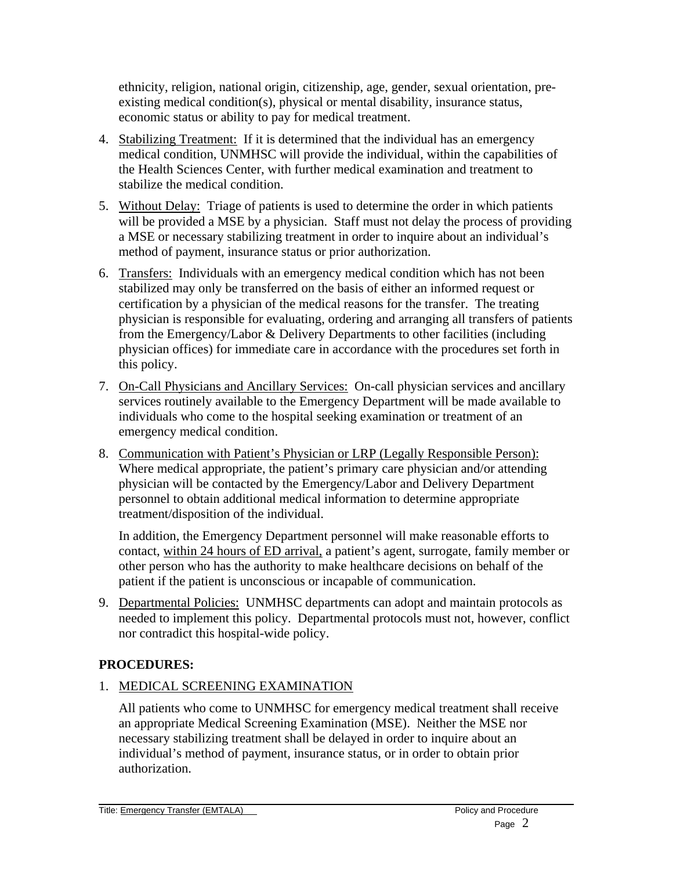ethnicity, religion, national origin, citizenship, age, gender, sexual orientation, preexisting medical condition(s), physical or mental disability, insurance status, economic status or ability to pay for medical treatment.

- 4. Stabilizing Treatment: If it is determined that the individual has an emergency medical condition, UNMHSC will provide the individual, within the capabilities of the Health Sciences Center, with further medical examination and treatment to stabilize the medical condition.
- 5. Without Delay: Triage of patients is used to determine the order in which patients will be provided a MSE by a physician. Staff must not delay the process of providing a MSE or necessary stabilizing treatment in order to inquire about an individual's method of payment, insurance status or prior authorization.
- 6. Transfers: Individuals with an emergency medical condition which has not been stabilized may only be transferred on the basis of either an informed request or certification by a physician of the medical reasons for the transfer. The treating physician is responsible for evaluating, ordering and arranging all transfers of patients from the Emergency/Labor & Delivery Departments to other facilities (including physician offices) for immediate care in accordance with the procedures set forth in this policy.
- 7. On-Call Physicians and Ancillary Services: On-call physician services and ancillary services routinely available to the Emergency Department will be made available to individuals who come to the hospital seeking examination or treatment of an emergency medical condition.
- 8. Communication with Patient's Physician or LRP (Legally Responsible Person): Where medical appropriate, the patient's primary care physician and/or attending physician will be contacted by the Emergency/Labor and Delivery Department personnel to obtain additional medical information to determine appropriate treatment/disposition of the individual.

In addition, the Emergency Department personnel will make reasonable efforts to contact, within 24 hours of ED arrival, a patient's agent, surrogate, family member or other person who has the authority to make healthcare decisions on behalf of the patient if the patient is unconscious or incapable of communication.

9. Departmental Policies: UNMHSC departments can adopt and maintain protocols as needed to implement this policy. Departmental protocols must not, however, conflict nor contradict this hospital-wide policy.

# **PROCEDURES:**

### 1. MEDICAL SCREENING EXAMINATION

All patients who come to UNMHSC for emergency medical treatment shall receive an appropriate Medical Screening Examination (MSE). Neither the MSE nor necessary stabilizing treatment shall be delayed in order to inquire about an individual's method of payment, insurance status, or in order to obtain prior authorization.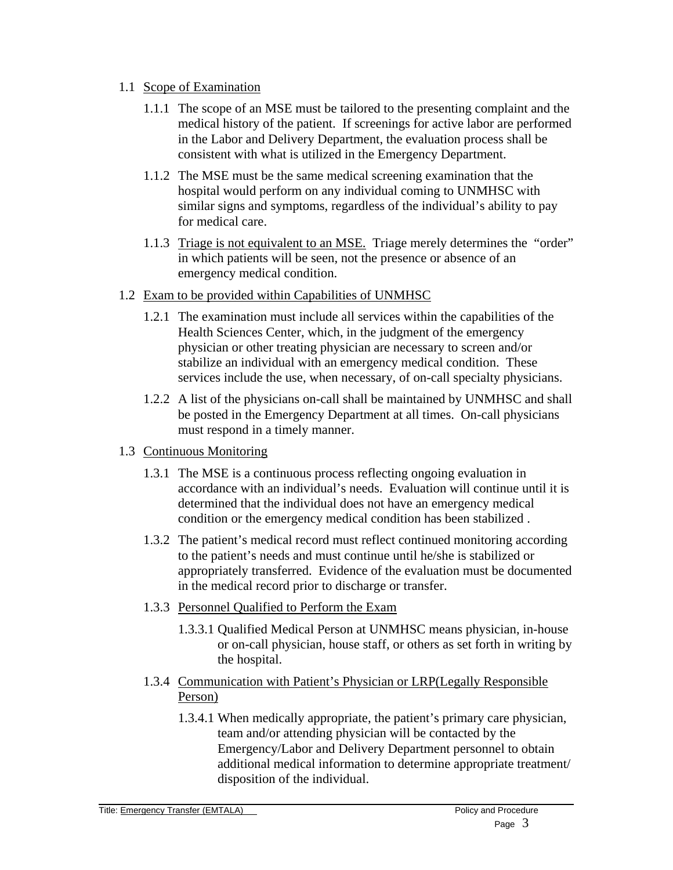#### 1.1 Scope of Examination

- 1.1.1 The scope of an MSE must be tailored to the presenting complaint and the medical history of the patient. If screenings for active labor are performed in the Labor and Delivery Department, the evaluation process shall be consistent with what is utilized in the Emergency Department.
- 1.1.2 The MSE must be the same medical screening examination that the hospital would perform on any individual coming to UNMHSC with similar signs and symptoms, regardless of the individual's ability to pay for medical care.
- 1.1.3 Triage is not equivalent to an MSE. Triage merely determines the "order" in which patients will be seen, not the presence or absence of an emergency medical condition.
- 1.2 Exam to be provided within Capabilities of UNMHSC
	- 1.2.1 The examination must include all services within the capabilities of the Health Sciences Center, which, in the judgment of the emergency physician or other treating physician are necessary to screen and/or stabilize an individual with an emergency medical condition. These services include the use, when necessary, of on-call specialty physicians.
	- 1.2.2 A list of the physicians on-call shall be maintained by UNMHSC and shall be posted in the Emergency Department at all times. On-call physicians must respond in a timely manner.
- 1.3 Continuous Monitoring
	- 1.3.1 The MSE is a continuous process reflecting ongoing evaluation in accordance with an individual's needs. Evaluation will continue until it is determined that the individual does not have an emergency medical condition or the emergency medical condition has been stabilized .
	- 1.3.2 The patient's medical record must reflect continued monitoring according to the patient's needs and must continue until he/she is stabilized or appropriately transferred. Evidence of the evaluation must be documented in the medical record prior to discharge or transfer.
	- 1.3.3 Personnel Qualified to Perform the Exam
		- 1.3.3.1 Qualified Medical Person at UNMHSC means physician, in-house or on-call physician, house staff, or others as set forth in writing by the hospital.
	- 1.3.4 Communication with Patient's Physician or LRP(Legally Responsible Person)
		- 1.3.4.1 When medically appropriate, the patient's primary care physician, team and/or attending physician will be contacted by the Emergency/Labor and Delivery Department personnel to obtain additional medical information to determine appropriate treatment/ disposition of the individual.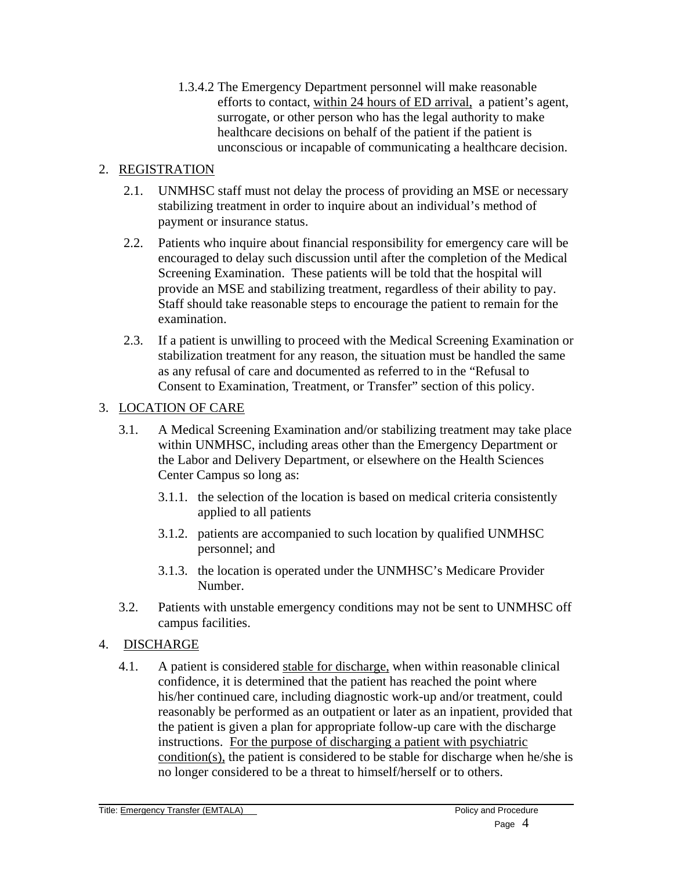1.3.4.2 The Emergency Department personnel will make reasonable efforts to contact, within 24 hours of ED arrival, a patient's agent, surrogate, or other person who has the legal authority to make healthcare decisions on behalf of the patient if the patient is unconscious or incapable of communicating a healthcare decision.

### 2. REGISTRATION

- 2.1. UNMHSC staff must not delay the process of providing an MSE or necessary stabilizing treatment in order to inquire about an individual's method of payment or insurance status.
- 2.2. Patients who inquire about financial responsibility for emergency care will be encouraged to delay such discussion until after the completion of the Medical Screening Examination. These patients will be told that the hospital will provide an MSE and stabilizing treatment, regardless of their ability to pay. Staff should take reasonable steps to encourage the patient to remain for the examination.
- 2.3. If a patient is unwilling to proceed with the Medical Screening Examination or stabilization treatment for any reason, the situation must be handled the same as any refusal of care and documented as referred to in the "Refusal to Consent to Examination, Treatment, or Transfer" section of this policy.

### 3. LOCATION OF CARE

- 3.1. A Medical Screening Examination and/or stabilizing treatment may take place within UNMHSC, including areas other than the Emergency Department or the Labor and Delivery Department, or elsewhere on the Health Sciences Center Campus so long as:
	- 3.1.1. the selection of the location is based on medical criteria consistently applied to all patients
	- 3.1.2. patients are accompanied to such location by qualified UNMHSC personnel; and
	- 3.1.3. the location is operated under the UNMHSC's Medicare Provider Number.
- 3.2. Patients with unstable emergency conditions may not be sent to UNMHSC off campus facilities.

#### 4. DISCHARGE

4.1. A patient is considered stable for discharge, when within reasonable clinical confidence, it is determined that the patient has reached the point where his/her continued care, including diagnostic work-up and/or treatment, could reasonably be performed as an outpatient or later as an inpatient, provided that the patient is given a plan for appropriate follow-up care with the discharge instructions. For the purpose of discharging a patient with psychiatric condition(s), the patient is considered to be stable for discharge when he/she is no longer considered to be a threat to himself/herself or to others.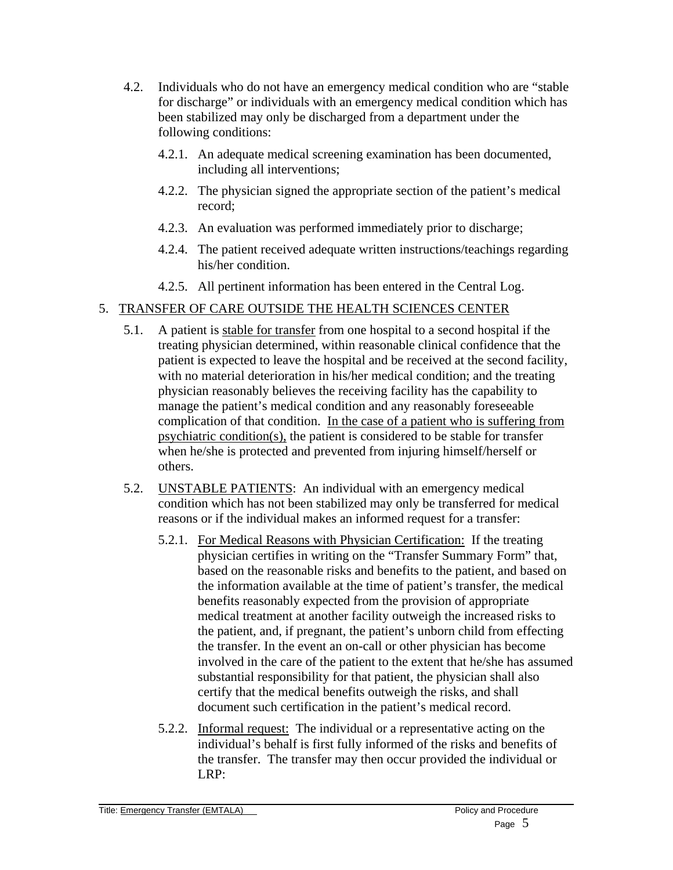- 4.2. Individuals who do not have an emergency medical condition who are "stable for discharge" or individuals with an emergency medical condition which has been stabilized may only be discharged from a department under the following conditions:
	- 4.2.1. An adequate medical screening examination has been documented, including all interventions;
	- 4.2.2. The physician signed the appropriate section of the patient's medical record;
	- 4.2.3. An evaluation was performed immediately prior to discharge;
	- 4.2.4. The patient received adequate written instructions/teachings regarding his/her condition.
	- 4.2.5. All pertinent information has been entered in the Central Log.

# 5. TRANSFER OF CARE OUTSIDE THE HEALTH SCIENCES CENTER

- 5.1. A patient is stable for transfer from one hospital to a second hospital if the treating physician determined, within reasonable clinical confidence that the patient is expected to leave the hospital and be received at the second facility, with no material deterioration in his/her medical condition; and the treating physician reasonably believes the receiving facility has the capability to manage the patient's medical condition and any reasonably foreseeable complication of that condition. In the case of a patient who is suffering from psychiatric condition(s), the patient is considered to be stable for transfer when he/she is protected and prevented from injuring himself/herself or others.
- 5.2. UNSTABLE PATIENTS: An individual with an emergency medical condition which has not been stabilized may only be transferred for medical reasons or if the individual makes an informed request for a transfer:
	- 5.2.1. For Medical Reasons with Physician Certification: If the treating physician certifies in writing on the "Transfer Summary Form" that, based on the reasonable risks and benefits to the patient, and based on the information available at the time of patient's transfer, the medical benefits reasonably expected from the provision of appropriate medical treatment at another facility outweigh the increased risks to the patient, and, if pregnant, the patient's unborn child from effecting the transfer. In the event an on-call or other physician has become involved in the care of the patient to the extent that he/she has assumed substantial responsibility for that patient, the physician shall also certify that the medical benefits outweigh the risks, and shall document such certification in the patient's medical record.
	- 5.2.2. Informal request: The individual or a representative acting on the individual's behalf is first fully informed of the risks and benefits of the transfer. The transfer may then occur provided the individual or LRP: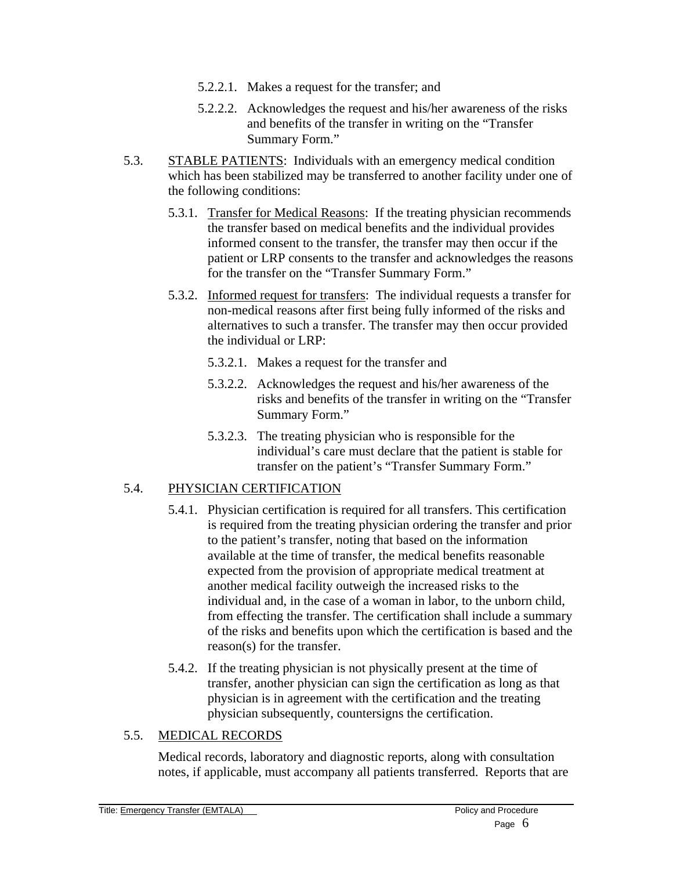- 5.2.2.1. Makes a request for the transfer; and
- 5.2.2.2. Acknowledges the request and his/her awareness of the risks and benefits of the transfer in writing on the "Transfer Summary Form."
- 5.3. STABLE PATIENTS: Individuals with an emergency medical condition which has been stabilized may be transferred to another facility under one of the following conditions:
	- 5.3.1. Transfer for Medical Reasons: If the treating physician recommends the transfer based on medical benefits and the individual provides informed consent to the transfer, the transfer may then occur if the patient or LRP consents to the transfer and acknowledges the reasons for the transfer on the "Transfer Summary Form."
	- 5.3.2. Informed request for transfers: The individual requests a transfer for non-medical reasons after first being fully informed of the risks and alternatives to such a transfer. The transfer may then occur provided the individual or LRP:
		- 5.3.2.1. Makes a request for the transfer and
		- 5.3.2.2. Acknowledges the request and his/her awareness of the risks and benefits of the transfer in writing on the "Transfer Summary Form."
		- 5.3.2.3. The treating physician who is responsible for the individual's care must declare that the patient is stable for transfer on the patient's "Transfer Summary Form."

### 5.4. PHYSICIAN CERTIFICATION

- 5.4.1. Physician certification is required for all transfers. This certification is required from the treating physician ordering the transfer and prior to the patient's transfer, noting that based on the information available at the time of transfer, the medical benefits reasonable expected from the provision of appropriate medical treatment at another medical facility outweigh the increased risks to the individual and, in the case of a woman in labor, to the unborn child, from effecting the transfer. The certification shall include a summary of the risks and benefits upon which the certification is based and the reason(s) for the transfer.
- 5.4.2. If the treating physician is not physically present at the time of transfer, another physician can sign the certification as long as that physician is in agreement with the certification and the treating physician subsequently, countersigns the certification.

### 5.5. MEDICAL RECORDS

Medical records, laboratory and diagnostic reports, along with consultation notes, if applicable, must accompany all patients transferred. Reports that are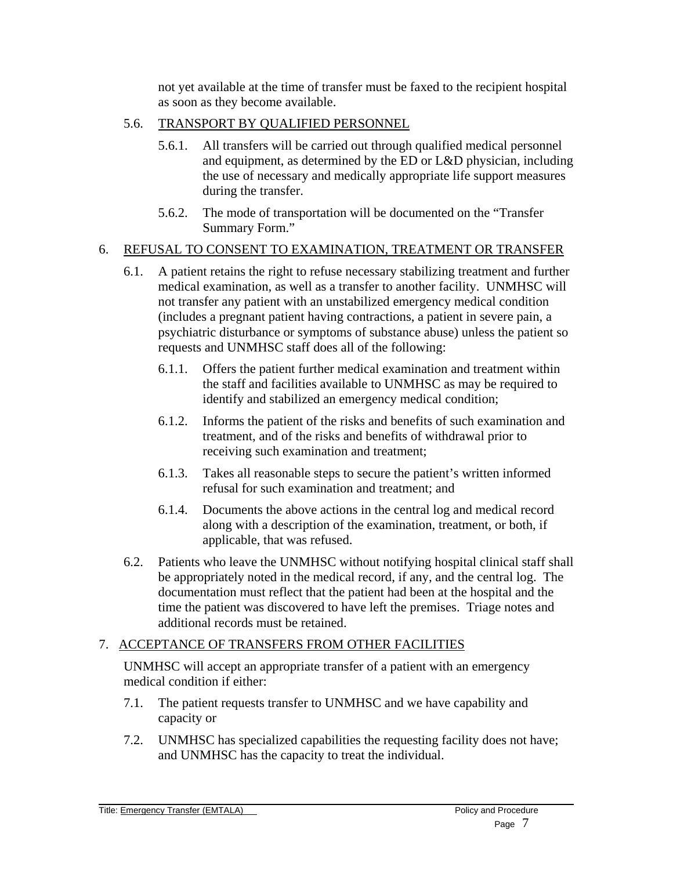not yet available at the time of transfer must be faxed to the recipient hospital as soon as they become available.

- 5.6. TRANSPORT BY QUALIFIED PERSONNEL
	- 5.6.1. All transfers will be carried out through qualified medical personnel and equipment, as determined by the ED or L&D physician, including the use of necessary and medically appropriate life support measures during the transfer.
	- 5.6.2. The mode of transportation will be documented on the "Transfer Summary Form."

### 6. REFUSAL TO CONSENT TO EXAMINATION, TREATMENT OR TRANSFER

- 6.1. A patient retains the right to refuse necessary stabilizing treatment and further medical examination, as well as a transfer to another facility. UNMHSC will not transfer any patient with an unstabilized emergency medical condition (includes a pregnant patient having contractions, a patient in severe pain, a psychiatric disturbance or symptoms of substance abuse) unless the patient so requests and UNMHSC staff does all of the following:
	- 6.1.1. Offers the patient further medical examination and treatment within the staff and facilities available to UNMHSC as may be required to identify and stabilized an emergency medical condition;
	- 6.1.2. Informs the patient of the risks and benefits of such examination and treatment, and of the risks and benefits of withdrawal prior to receiving such examination and treatment;
	- 6.1.3. Takes all reasonable steps to secure the patient's written informed refusal for such examination and treatment; and
	- 6.1.4. Documents the above actions in the central log and medical record along with a description of the examination, treatment, or both, if applicable, that was refused.
- 6.2. Patients who leave the UNMHSC without notifying hospital clinical staff shall be appropriately noted in the medical record, if any, and the central log. The documentation must reflect that the patient had been at the hospital and the time the patient was discovered to have left the premises. Triage notes and additional records must be retained.

### 7. ACCEPTANCE OF TRANSFERS FROM OTHER FACILITIES

UNMHSC will accept an appropriate transfer of a patient with an emergency medical condition if either:

- 7.1. The patient requests transfer to UNMHSC and we have capability and capacity or
- 7.2. UNMHSC has specialized capabilities the requesting facility does not have; and UNMHSC has the capacity to treat the individual.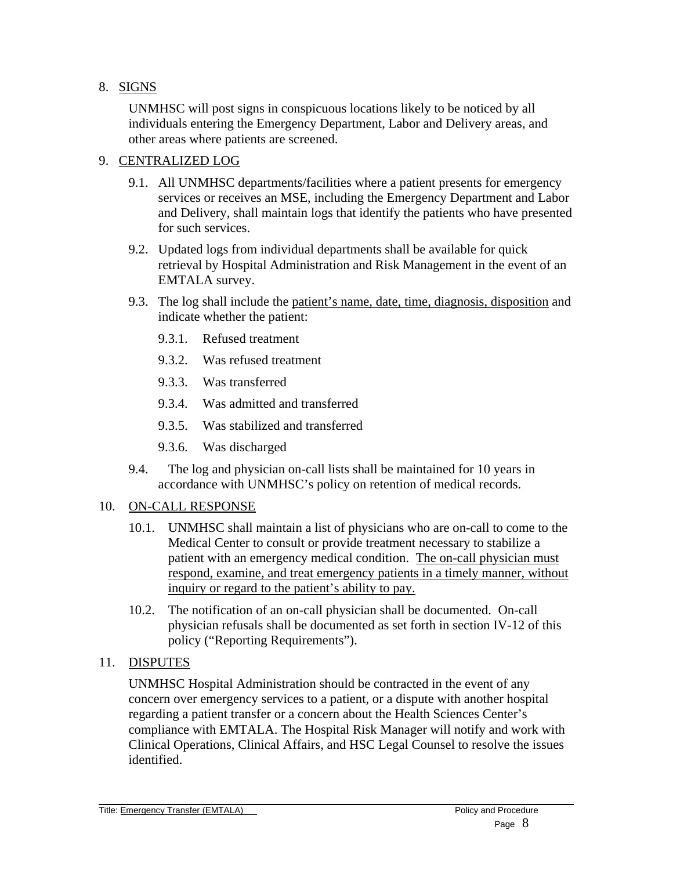### 8. SIGNS

UNMHSC will post signs in conspicuous locations likely to be noticed by all individuals entering the Emergency Department, Labor and Delivery areas, and other areas where patients are screened.

#### 9. CENTRALIZED LOG

- 9.1. All UNMHSC departments/facilities where a patient presents for emergency services or receives an MSE, including the Emergency Department and Labor and Delivery, shall maintain logs that identify the patients who have presented for such services.
- 9.2. Updated logs from individual departments shall be available for quick retrieval by Hospital Administration and Risk Management in the event of an EMTALA survey.
- 9.3. The log shall include the patient's name, date, time, diagnosis, disposition and indicate whether the patient:
	- 9.3.1. Refused treatment
	- 9.3.2. Was refused treatment
	- 9.3.3. Was transferred
	- 9.3.4. Was admitted and transferred
	- 9.3.5. Was stabilized and transferred
	- 9.3.6. Was discharged
- 9.4. The log and physician on-call lists shall be maintained for 10 years in accordance with UNMHSC's policy on retention of medical records.

#### 10. ON-CALL RESPONSE

- 10.1. UNMHSC shall maintain a list of physicians who are on-call to come to the Medical Center to consult or provide treatment necessary to stabilize a patient with an emergency medical condition. The on-call physician must respond, examine, and treat emergency patients in a timely manner, without inquiry or regard to the patient's ability to pay.
- 10.2. The notification of an on-call physician shall be documented. On-call physician refusals shall be documented as set forth in section IV-12 of this policy ("Reporting Requirements").
- 11. DISPUTES

UNMHSC Hospital Administration should be contracted in the event of any concern over emergency services to a patient, or a dispute with another hospital regarding a patient transfer or a concern about the Health Sciences Center's compliance with EMTALA. The Hospital Risk Manager will notify and work with Clinical Operations, Clinical Affairs, and HSC Legal Counsel to resolve the issues identified.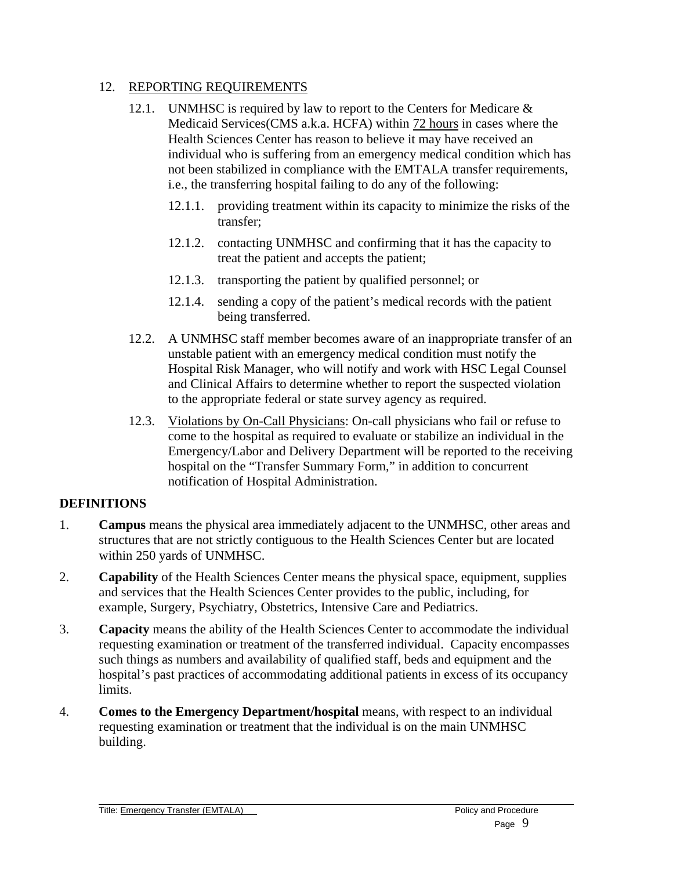#### 12. REPORTING REQUIREMENTS

- 12.1. UNMHSC is required by law to report to the Centers for Medicare & Medicaid Services(CMS a.k.a. HCFA) within 72 hours in cases where the Health Sciences Center has reason to believe it may have received an individual who is suffering from an emergency medical condition which has not been stabilized in compliance with the EMTALA transfer requirements, i.e., the transferring hospital failing to do any of the following:
	- 12.1.1. providing treatment within its capacity to minimize the risks of the transfer;
	- 12.1.2. contacting UNMHSC and confirming that it has the capacity to treat the patient and accepts the patient;
	- 12.1.3. transporting the patient by qualified personnel; or
	- 12.1.4. sending a copy of the patient's medical records with the patient being transferred.
- 12.2. A UNMHSC staff member becomes aware of an inappropriate transfer of an unstable patient with an emergency medical condition must notify the Hospital Risk Manager, who will notify and work with HSC Legal Counsel and Clinical Affairs to determine whether to report the suspected violation to the appropriate federal or state survey agency as required.
- 12.3. Violations by On-Call Physicians: On-call physicians who fail or refuse to come to the hospital as required to evaluate or stabilize an individual in the Emergency/Labor and Delivery Department will be reported to the receiving hospital on the "Transfer Summary Form," in addition to concurrent notification of Hospital Administration.

#### **DEFINITIONS**

- 1. **Campus** means the physical area immediately adjacent to the UNMHSC, other areas and structures that are not strictly contiguous to the Health Sciences Center but are located within 250 yards of UNMHSC.
- 2. **Capability** of the Health Sciences Center means the physical space, equipment, supplies and services that the Health Sciences Center provides to the public, including, for example, Surgery, Psychiatry, Obstetrics, Intensive Care and Pediatrics.
- 3. **Capacity** means the ability of the Health Sciences Center to accommodate the individual requesting examination or treatment of the transferred individual. Capacity encompasses such things as numbers and availability of qualified staff, beds and equipment and the hospital's past practices of accommodating additional patients in excess of its occupancy limits.
- 4. **Comes to the Emergency Department/hospital** means, with respect to an individual requesting examination or treatment that the individual is on the main UNMHSC building.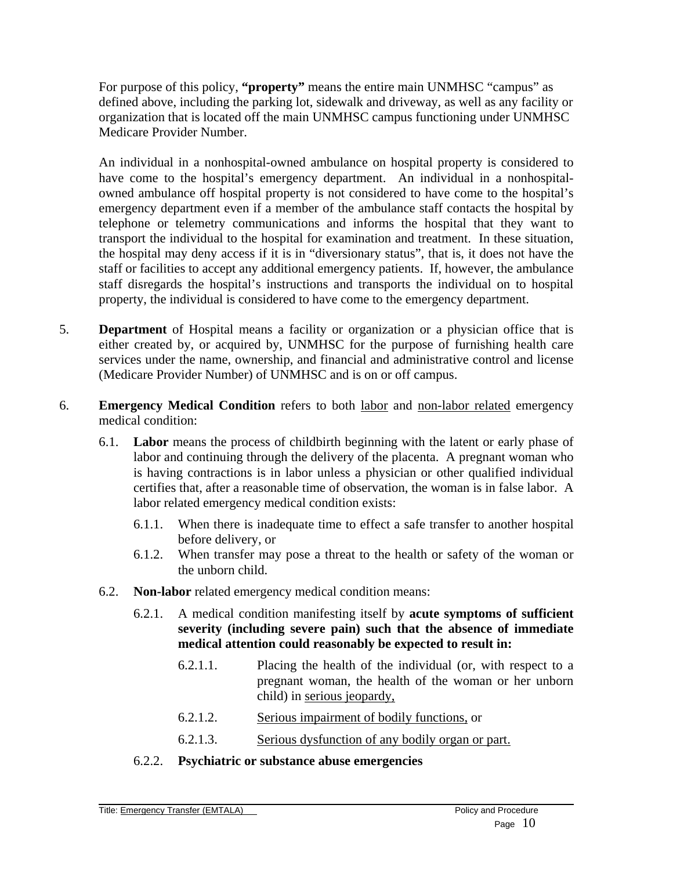For purpose of this policy, **"property"** means the entire main UNMHSC "campus" as defined above, including the parking lot, sidewalk and driveway, as well as any facility or organization that is located off the main UNMHSC campus functioning under UNMHSC Medicare Provider Number.

An individual in a nonhospital-owned ambulance on hospital property is considered to have come to the hospital's emergency department. An individual in a nonhospitalowned ambulance off hospital property is not considered to have come to the hospital's emergency department even if a member of the ambulance staff contacts the hospital by telephone or telemetry communications and informs the hospital that they want to transport the individual to the hospital for examination and treatment. In these situation, the hospital may deny access if it is in "diversionary status", that is, it does not have the staff or facilities to accept any additional emergency patients. If, however, the ambulance staff disregards the hospital's instructions and transports the individual on to hospital property, the individual is considered to have come to the emergency department.

- 5. **Department** of Hospital means a facility or organization or a physician office that is either created by, or acquired by, UNMHSC for the purpose of furnishing health care services under the name, ownership, and financial and administrative control and license (Medicare Provider Number) of UNMHSC and is on or off campus.
- 6. **Emergency Medical Condition** refers to both labor and non-labor related emergency medical condition:
	- 6.1. **Labor** means the process of childbirth beginning with the latent or early phase of labor and continuing through the delivery of the placenta. A pregnant woman who is having contractions is in labor unless a physician or other qualified individual certifies that, after a reasonable time of observation, the woman is in false labor. A labor related emergency medical condition exists:
		- 6.1.1. When there is inadequate time to effect a safe transfer to another hospital before delivery, or
		- 6.1.2. When transfer may pose a threat to the health or safety of the woman or the unborn child.
	- 6.2. **Non-labor** related emergency medical condition means:
		- 6.2.1. A medical condition manifesting itself by **acute symptoms of sufficient severity (including severe pain) such that the absence of immediate medical attention could reasonably be expected to result in:**
			- 6.2.1.1. Placing the health of the individual (or, with respect to a pregnant woman, the health of the woman or her unborn child) in serious jeopardy,
			- 6.2.1.2. Serious impairment of bodily functions, or
			- 6.2.1.3. Serious dysfunction of any bodily organ or part.
		- 6.2.2. **Psychiatric or substance abuse emergencies**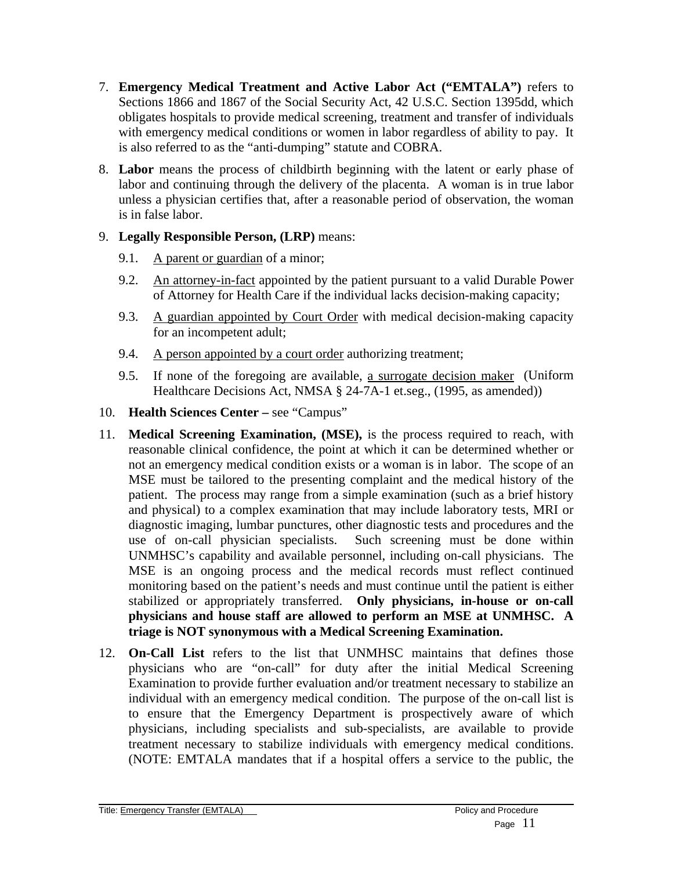- 7. **Emergency Medical Treatment and Active Labor Act ("EMTALA")** refers to Sections 1866 and 1867 of the Social Security Act, 42 U.S.C. Section 1395dd, which obligates hospitals to provide medical screening, treatment and transfer of individuals with emergency medical conditions or women in labor regardless of ability to pay. It is also referred to as the "anti-dumping" statute and COBRA.
- 8. **Labor** means the process of childbirth beginning with the latent or early phase of labor and continuing through the delivery of the placenta. A woman is in true labor unless a physician certifies that, after a reasonable period of observation, the woman is in false labor.
- 9. **Legally Responsible Person, (LRP)** means:
	- 9.1. A parent or guardian of a minor;
	- 9.2. An attorney-in-fact appointed by the patient pursuant to a valid Durable Power of Attorney for Health Care if the individual lacks decision-making capacity;
	- 9.3. A guardian appointed by Court Order with medical decision-making capacity for an incompetent adult;
	- 9.4. A person appointed by a court order authorizing treatment;
	- 9.5. If none of the foregoing are available, a surrogate decision maker (Uniform Healthcare Decisions Act, NMSA § 24-7A-1 et.seg., (1995, as amended))
- 10. **Health Sciences Center** see "Campus"
- 11. **Medical Screening Examination, (MSE),** is the process required to reach, with reasonable clinical confidence, the point at which it can be determined whether or not an emergency medical condition exists or a woman is in labor. The scope of an MSE must be tailored to the presenting complaint and the medical history of the patient. The process may range from a simple examination (such as a brief history and physical) to a complex examination that may include laboratory tests, MRI or diagnostic imaging, lumbar punctures, other diagnostic tests and procedures and the use of on-call physician specialists. Such screening must be done within UNMHSC's capability and available personnel, including on-call physicians. The MSE is an ongoing process and the medical records must reflect continued monitoring based on the patient's needs and must continue until the patient is either stabilized or appropriately transferred. **Only physicians, in-house or on-call physicians and house staff are allowed to perform an MSE at UNMHSC. A triage is NOT synonymous with a Medical Screening Examination.**
- 12. **On-Call List** refers to the list that UNMHSC maintains that defines those physicians who are "on-call" for duty after the initial Medical Screening Examination to provide further evaluation and/or treatment necessary to stabilize an individual with an emergency medical condition. The purpose of the on-call list is to ensure that the Emergency Department is prospectively aware of which physicians, including specialists and sub-specialists, are available to provide treatment necessary to stabilize individuals with emergency medical conditions. (NOTE: EMTALA mandates that if a hospital offers a service to the public, the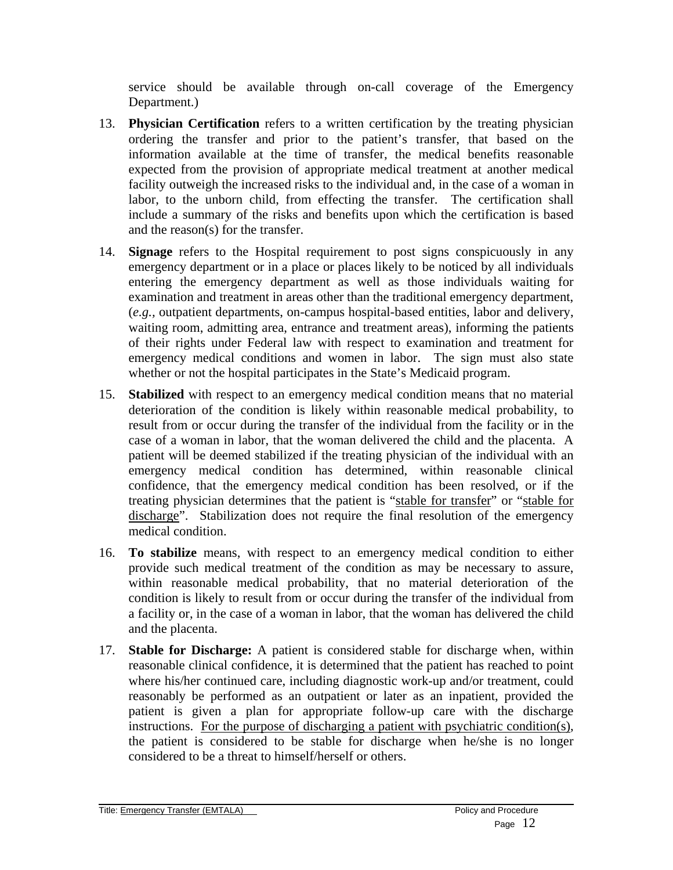service should be available through on-call coverage of the Emergency Department.)

- 13. **Physician Certification** refers to a written certification by the treating physician ordering the transfer and prior to the patient's transfer, that based on the information available at the time of transfer, the medical benefits reasonable expected from the provision of appropriate medical treatment at another medical facility outweigh the increased risks to the individual and, in the case of a woman in labor, to the unborn child, from effecting the transfer. The certification shall include a summary of the risks and benefits upon which the certification is based and the reason(s) for the transfer.
- 14. **Signage** refers to the Hospital requirement to post signs conspicuously in any emergency department or in a place or places likely to be noticed by all individuals entering the emergency department as well as those individuals waiting for examination and treatment in areas other than the traditional emergency department, (*e.g.,* outpatient departments, on-campus hospital-based entities, labor and delivery, waiting room, admitting area, entrance and treatment areas), informing the patients of their rights under Federal law with respect to examination and treatment for emergency medical conditions and women in labor. The sign must also state whether or not the hospital participates in the State's Medicaid program.
- 15. **Stabilized** with respect to an emergency medical condition means that no material deterioration of the condition is likely within reasonable medical probability, to result from or occur during the transfer of the individual from the facility or in the case of a woman in labor, that the woman delivered the child and the placenta. A patient will be deemed stabilized if the treating physician of the individual with an emergency medical condition has determined, within reasonable clinical confidence, that the emergency medical condition has been resolved, or if the treating physician determines that the patient is "stable for transfer" or "stable for discharge". Stabilization does not require the final resolution of the emergency medical condition.
- 16. **To stabilize** means, with respect to an emergency medical condition to either provide such medical treatment of the condition as may be necessary to assure, within reasonable medical probability, that no material deterioration of the condition is likely to result from or occur during the transfer of the individual from a facility or, in the case of a woman in labor, that the woman has delivered the child and the placenta.
- 17. **Stable for Discharge:** A patient is considered stable for discharge when, within reasonable clinical confidence, it is determined that the patient has reached to point where his/her continued care, including diagnostic work-up and/or treatment, could reasonably be performed as an outpatient or later as an inpatient, provided the patient is given a plan for appropriate follow-up care with the discharge instructions. For the purpose of discharging a patient with psychiatric condition(s), the patient is considered to be stable for discharge when he/she is no longer considered to be a threat to himself/herself or others.